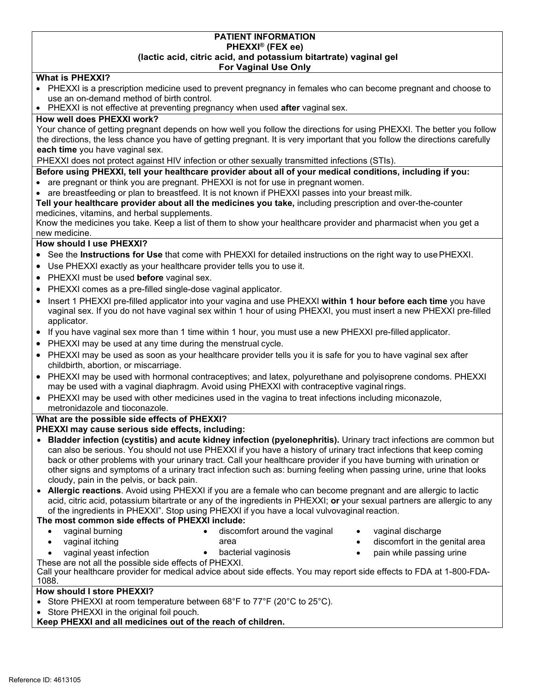#### **PATIENT INFORMATION PHEXXI® (FEX ee) (lactic acid, citric acid, and potassium bitartrate) vaginal gel For Vaginal Use Only**

# **What is PHEXXI?**

- PHEXXI is a prescription medicine used to prevent pregnancy in females who can become pregnant and choose to use an on-demand method of birth control.
- PHEXXI is not effective at preventing pregnancy when used **after** vaginal sex.

## **How well does PHEXXI work?**

Your chance of getting pregnant depends on how well you follow the directions for using PHEXXI. The better you follow the directions, the less chance you have of getting pregnant. It is very important that you follow the directions carefully **each time** you have vaginal sex.

PHEXXI does not protect against HIV infection or other sexually transmitted infections (STIs).

**Before using PHEXXI, tell your healthcare provider about all of your medical conditions, including if you:**

- are pregnant or think you are pregnant. PHEXXI is not for use in pregnant women.
- are breastfeeding or plan to breastfeed. It is not known if PHEXXI passes into your breast milk.

**Tell your healthcare provider about all the medicines you take,** including prescription and over-the-counter medicines, vitamins, and herbal supplements.

Know the medicines you take. Keep a list of them to show your healthcare provider and pharmacist when you get a new medicine.

## **How should I use PHEXXI?**

- See the **Instructions for Use** that come with PHEXXI for detailed instructions on the right way to usePHEXXI.
- Use PHEXXI exactly as your healthcare provider tells you to use it.
- PHEXXI must be used **before** vaginal sex.
- PHEXXI comes as a pre-filled single-dose vaginal applicator.
- Insert 1 PHEXXI pre-filled applicator into your vagina and use PHEXXI **within 1 hour before each time** you have vaginal sex. If you do not have vaginal sex within 1 hour of using PHEXXI, you must insert a new PHEXXI pre-filled applicator.
- If you have vaginal sex more than 1 time within 1 hour, you must use a new PHEXXI pre-filled applicator.
- PHEXXI may be used at any time during the menstrual cycle.
- PHEXXI may be used as soon as your healthcare provider tells you it is safe for you to have vaginal sex after childbirth, abortion, or miscarriage.
- PHEXXI may be used with hormonal contraceptives; and latex, polyurethane and polyisoprene condoms. PHEXXI may be used with a vaginal diaphragm. Avoid using PHEXXI with contraceptive vaginal rings.
- PHEXXI may be used with other medicines used in the vagina to treat infections including miconazole, metronidazole and tioconazole.

### **What are the possible side effects of PHEXXI?**

# **PHEXXI may cause serious side effects, including:**

- **Bladder infection (cystitis) and acute kidney infection (pyelonephritis).** Urinary tract infections are common but can also be serious. You should not use PHEXXI if you have a history of urinary tract infections that keep coming back or other problems with your urinary tract. Call your healthcare provider if you have burning with urination or other signs and symptoms of a urinary tract infection such as: burning feeling when passing urine, urine that looks cloudy, pain in the pelvis, or back pain.
- **Allergic reactions**. Avoid using PHEXXI if you are a female who can become pregnant and are allergic to lactic acid, citric acid, potassium bitartrate or any of the ingredients in PHEXXI; **or** your sexual partners are allergic to any of the ingredients in PHEXXI". Stop using PHEXXI if you have a local vulvovaginal reaction.

### **The most common side effects of PHEXXI include:**

- 
- 
- 
- vaginal burning **•** discomfort around the vaginal vaginal discharge
- vaginal itching **area area area area** *s* discomfort in the genital area
- vaginal yeast infection bacterial vaginosis pain while passing urine
	-
- These are not all the possible side effects of PHEXXI.
- Call your healthcare provider for medical advice about side effects. You may report side effects to FDA at 1-800-FDA-1088.

### **How should I store PHEXXI?**

- Store PHEXXI at room temperature between 68°F to 77°F (20°C to 25°C).
- Store PHEXXI in the original foil pouch.

**Keep PHEXXI and all medicines out of the reach of children.**